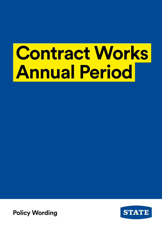# **Contract Works Annual Period**

Policy wording **Policy Wording**

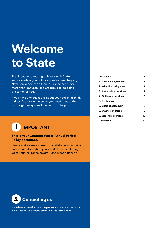## **Welcome to State**

Thank you for choosing to insure with State. You've made a great choice – we've been helping New Zealanders with their insurance needs for more than 100 years and are proud to be doing the same for you.

If you have any questions about your policy or think it doesn't provide the cover you need, please ring us straight away – we'll be happy to help.

#### $\mathbf{I}$ **IMPORTANT**

#### **This is your Contract Works Annual Period Policy document.**

Please make sure you read it carefully, as it contains important information you should know, including what your insurance covers – and what it doesn't.

| Introduction               |    |
|----------------------------|----|
| 1. Insurance agreement     | 1  |
| 2. What this policy covers | 1  |
| 3. Automatic extensions    | 2  |
| 4. Optional extensions     | з  |
| 5. Exclusions              | 6  |
| 6. Basis of settlement     | 8  |
| 7. Claims conditions       | 9  |
| 8. General conditions      | 10 |
| <b>Definitions</b>         | 12 |



If you have a question, need help or want to make an insurance claim, just call us on **0800 80 24 24** or visit **state.co.nz**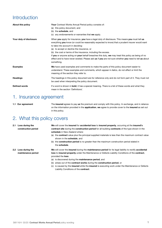## <span id="page-2-0"></span>**Introduction**

| About this policy       | <b>Your</b> Contract Works Annual Period policy consists of:<br>(a) this policy document, and<br>(b) the schedule, and<br>(c) any endorsements or warranties that we apply.                                                                                                                                                                                                                                                                                                                                                                                                        |
|-------------------------|------------------------------------------------------------------------------------------------------------------------------------------------------------------------------------------------------------------------------------------------------------------------------------------------------------------------------------------------------------------------------------------------------------------------------------------------------------------------------------------------------------------------------------------------------------------------------------|
| Your duty of disclosure | When you apply for insurance, you have a legal duty of disclosure. This means you must tell us<br>everything you know (or could be reasonably expected to know) that a prudent insurer would want<br>to take into account in deciding:<br>(a) to accept or decline the insurance, or<br>(b) the cost or terms of the insurance, including the excess.<br>If you or anyone acting on your behalf breaches this duty, we may treat this policy as being of no<br>effect and to have never existed. Please ask us if you are not sure whether you need to tell us about<br>something. |
| <b>Examples</b>         | We have used examples and comments to make the parts of this policy document easier to<br>understand. These examples and comments, which appear in <i>italics</i> , do not affect or limit the<br>meaning of the section they refer to.                                                                                                                                                                                                                                                                                                                                            |
| <b>Headings</b>         | The headings in this policy document are for reference only and do not form part of it. They must not<br>be used when interpreting the policy document.                                                                                                                                                                                                                                                                                                                                                                                                                            |
| <b>Defined words</b>    | If a word is shown in <b>bold</b> , it has a special meaning. There is a list of these words and what they<br>mean in the section 'Definitions'.                                                                                                                                                                                                                                                                                                                                                                                                                                   |

### 1. Insurance agreement

**1.1 Our agreement** The **insured** agrees to pay **us** the premium and comply with this policy. In exchange, and in reliance on the information provided in the **application**, **we** agree to provide cover to the **insured** as set out in this policy.

## 2. What this policy covers

**2.1 Loss during the construction period**

**2.2 Loss during the** 

**maintenance period**

**We** will cover the **insured** for **accidental loss** to **insured property**, occurring at the **insured's contract site** during the **construction period** for all building **contracts** of the type shown in the **schedule** in New Zealand where:

- (a) the **contract** value plus the principal supplied materials is less than the maximum contract value shown in the **schedule**, and
- (b) the **construction period** is no greater than the maximum construction period stated in the **schedule**.

**We** will cover the **insured** during the **maintenance period** for its legal liability to rectify **accidental loss** to **insured property** under the Maintenance or Defects Liability Conditions of the **contract**, provided the **loss**:

- (a) is discovered during the **maintenance period**, and
- (b) arises out of the **contract works** during the **construction period**, or
- (c) is caused by the **insured** while the **insured** is executing work under the Maintenance or Defects Liability Conditions of the **contract**.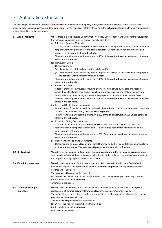## <span id="page-3-0"></span>3. Automatic extensions

The following extensions are included automatically and are subject to the policy terms, unless otherwise stated. Some clauses have specified sub-limits and excesses and these will apply unless specifically stated otherwise in the **schedule**. All sub-limits are included in and are not in addition to the sum insured.

**3.1 Additional items** Where there is a **loss** covered under 'What This Policy Covers' above, **we** will cover the **insured** for the reasonable costs incurred for each of the following items.

(a) Principal's Supplied Materials

Costs to replace materials and property supplied by the principal free of charge to the contractor for permanent incorporation into the **contract works**. Cover begins when the materials and property are delivered to the **contract site**.

The most **we** will pay under this extension is 10% of the **contract works** value unless otherwise stated in the **schedule**.

- (b) Removal of Debris
	- Costs incurred to:
	- (i) dismantle, demolish and remove the debris, and/or
	- (ii) undamaged material, necessary to effect repairs and to secure further damage and prepare the **contract works** for rectification of the **loss**.

The most **we** will pay under this extension is 10% of the **contract works** value unless otherwise stated in the **schedule**.

(c) Professional Fees

Costs of architects, surveyors, consulting engineers, clerk of works, building and resource consent fees (excluding fines and/or penalties) and other fees incurred that are necessary to rectify the **loss** (but excluding any fees for the preparation of a claim or estimate of fees). The most **we** will pay under this extension is 10% of the **contract works** value unless otherwise stated in the **schedule**.

(d) Increased Costs During Construction

Costs incurred for variations and fluctuations in the **contract** price, and/or increases in the costs of labour and materials during the **construction period**.

The most **we** will pay under this extension is 5% of the **contract works** value unless otherwise stated in the **schedule**.

(e) Escalation During Reconstruction

Costs of reconstruction of the **contract works** that exceed the initial cost, provided the reconstruction is completed without delay. Cover will also account for inflated costs of the unbuilt portion of the works.

The most **we** will pay under this extension is 5% of the **contract works** value unless otherwise stated in the **schedule**.

- (f) Plans / Drawings and Site Documents Costs incurred to replace **loss** of any Plans, Drawings and other related Site Documents relating to the **contract works**. The most **we** will pay under this extension is \$10,000.
- **3.2 Civil authority We** will cover the **insured** for **loss** during the **construction period** to the **insured property** where such **loss** is suffered at the direction of a civil authority during a fire or other catastrophic **event** for the purpose of mitigating the effects of such **event**.
- **3.3 Expediting expenses We** will cover the **insured** for the reasonable cost of express freight within New Zealand and overtime to expedite the repair or replacement of **insured property** following a **loss** otherwise covered under this policy.
	- The most **we** will pay under this extension is:
	- (a) 30% of the claimed amount for ordinary labour, road carriage charges or ordinary costs, or
	- (b) the limit stated in the **schedule**,
	- whichever is the lesser.

#### **3.4 Overseas airfreight expenses We** will cover the **insured** for the reasonable cost of airfreight charges incurred in the repair and replacement of **insured property** following a **loss** otherwise covered under this policy. The airfreight carriage must be provided by a recognised regular scheduled airline service and not provided by a chartered aircraft. The most **we** will pay under this extension is:

- (a) 20% of the value of the item being freighted, or
	- (b) the limit stated in the **schedule**,
	- whichever is the lesser.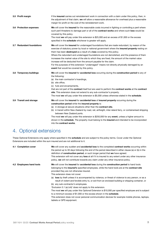<span id="page-4-0"></span>

| 3.5 Profit margin         | If the <b>insured</b> carries out reinstatement work in connection with a claim under this policy, then, in<br>the adjustment of that claim, we will allow a reasonable allowance for overhead plus a reasonable<br>margin for profit on the cost of the reinstatement work.                                                                                                                                                                                                                                                                                                                                                                                                                 |
|---------------------------|----------------------------------------------------------------------------------------------------------------------------------------------------------------------------------------------------------------------------------------------------------------------------------------------------------------------------------------------------------------------------------------------------------------------------------------------------------------------------------------------------------------------------------------------------------------------------------------------------------------------------------------------------------------------------------------------|
| 3.6 Protection expenses   | We will cover the insured for the reasonable costs incurred in fighting or controlling a peril where<br>such peril threatens to damage part or all of the contract works and where such loss would be<br>covered by this policy.<br>The most we will pay under this extension is $$25,000$ and an excess of $$1,000$ or the excess<br>specified in the schedule whichever is greater will apply.                                                                                                                                                                                                                                                                                             |
| 3.7 Redundant foundations | We will cover the insured for undamaged foundations that are made redundant, by reason of the<br>exercise of statutory power by local or national government where the insured property resting on<br>them has been destroyed as a result of a loss covered by this policy.<br>Where the redundant and undamaged foundations are not demolished, and the presence of them<br>increases the market value of the site to which they are fixed, the amount of the market value<br>increase will be deducted from the amount payable for the claim.<br>For the purposes of this extension "undamaged" means not directly physically damaged by an<br>event that would be covered by this policy. |
| 3.8 Temporary buildings   | We will cover the insured for accidental loss occurring during the construction period to any of<br>the following:<br>(a) the main contractor's hoardings,<br>(b) site office,<br>(c) huts and encampments,<br>that are not part of the contract itself but are used to perform the contract works at the contract<br>site. This extension does not extend to any sub-contractor's property.<br>The most we will pay under this extension is \$5,000 unless otherwise stated in the schedule.                                                                                                                                                                                                |
| 3.9 Transit and storage   | We will cover the insured for accidental loss of insured property occurring during the<br>construction period while the insured property is:<br>(a) in storage at secure situations other than the <b>contract site</b> ,<br>(b) in transit within New Zealand by road, rail, airfreight, inter-island ferry, or containerised shipping<br>between New Zealand ports.<br>The most we will pay under this extension is \$250,000 for any event, unless a higher amount is<br>shown in the schedule. The property must belong to the insured and intended to be incorporated<br>into the <b>contract works</b> .                                                                               |

## 4. Optional extensions

These Optional Extensions only apply where specified in the **schedule** and are subject to the policy terms. Cover under the Optional Extensions are included within the sum insured and are not additional to it.

| 4.1 Completion cover     | We will cover any sudden and accidental loss to the completed contract works occurring within<br>the period up to 30 days following the end of the period described in either clause (a) or (b) in the<br>definition of <b>construction period</b> , or such longer period that we have agreed.<br>This extension will not cover any loss at all if it is insured to any extent under any other insurance<br>policy, we will not contribute towards any claim under any other insurance policy.                                                                                                                                                                                                                                                                                                                                                                                                                          |
|--------------------------|--------------------------------------------------------------------------------------------------------------------------------------------------------------------------------------------------------------------------------------------------------------------------------------------------------------------------------------------------------------------------------------------------------------------------------------------------------------------------------------------------------------------------------------------------------------------------------------------------------------------------------------------------------------------------------------------------------------------------------------------------------------------------------------------------------------------------------------------------------------------------------------------------------------------------|
| 4.2 Employees hand tools | We will cover the insured for accidental loss during the construction period to hand tools<br>belonging to the insured's specified employees, while the hand tools are at the contract site<br>provided they are not otherwise insured.<br>This extension does not cover:<br>(a) loss by theft unless it is accompanied by violence, or threat of violence to any person, or as a<br>result of violent and forcible entry to, or exit from an enclosed building or shipping container, or<br>(b) any sub-contractor's employees.<br>'Exclusion 5.1 (a) (viii)' does not apply to this extension.<br>The most we will pay under this Optional Extension is \$10,000 per specified employee and is subject<br>to a minimum excess of \$1,000 or the excess shown in the <b>schedule</b> .<br>This extension does not cover personal communication devices for example mobile phones, laptops,<br>tablets or GPS equipment. |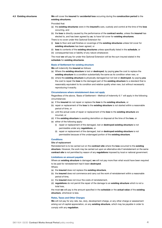#### **4.3 Existing structures We** will cover the **insured** for **accidental loss** occurring during the **construction period** to the **existing structures**.

Provided that:

- (a) the **existing structures** were in the **insured's** care, custody and control at the time of the **loss** occurring, and
- (b) the **loss** is directly caused by the performance of the **contract works**, unless the **insured** has elected to, and has been agreed by **us**, to have full cover for **existing structures**.

There is no cover under this Optional Extension for:

- (i) **loss** to floor and wall finishes or coverings of the **existing structures** unless full cover for **existing structures** has been agreed, or
- (ii) **loss** to contents of the **existing structures** unless specifically listed in the **schedule**, or (iii) consequential loss or liability of any nature whatsoever.

The most **we** will pay for under this Optional Extension will be the sum insured stated in the **schedule** for **existing structures**.

#### **Basis of Settlement for existing structure**

**We** will indemnify the **insured** as follows:

- (a) Where the **existing structure** is lost or **destroyed**, by paying **you** the cost to replace the **existing structure** to a condition substantially the same as its condition when new, or
- (b) where the **existing structure** is physically damaged but not lost or **destroyed**, by paying **you** the cost to repair the **loss** to the damaged part of the **existing structure** to a standard that is reasonably equivalent to its condition and relative quality when new, but without necessarily reproducing it exactly.

#### **Circumstances where reinstatement does not apply**

Regardless of the above, 'Basis of Settlement – Method of Indemnity 6.1' will apply in the following circumstances:

- (a) If the **insured** do not repair or replace the **loss** to the **existing structure**, or
- (b) repair or replacement of the **loss** to the **existing structure** is not started within a reasonable period of time, or
- (c) until the actual costs of repair or replacement of the **loss** to the **existing structure** are incurred, or
- (d) if the **existing structure** is awaiting demolition or disposal at the time of the **loss**, or
- (e) either of the following apply:
	- (i) repair or replacement of the damaged, lost or **destroyed existing structure** is not permissible under any **regulations**, or
	- (ii) repair or replacement of the damaged, lost or **destroyed existing structure** is not permissible because of the undamaged portion of the **existing structure**.

#### **Conditions**

#### Site of replacement

Reinstatement is to be carried out on the **contract site** where the **loss** occurred to the **existing structure**. However, the work may be carried out upon an alternative site if reinstatement on the same **contract site** is not permitted by reason of any **regulations** imposed by local or national government.

#### **Limitations on amount payable**

Where an **existing structure** is damaged, **we** will not pay more than what would have been required to be paid for reinstatement had it been **destroyed**.

Where:

- (a) the **insured** does not replace the **existing structure**,
- (b) the **insured** does not commence and carry out the work of reinstatement within a reasonable period of time,
- (c) the **insured** does not incur the costs of reinstatement,
- (d) **regulations** do not permit the repair of the damage to an **existing structure** which is not a total loss,

the most **we** will pay is the amount specified in the **schedule** or the **actual value** of the **existing structure**, whichever is less.

#### **Rates, Taxes and Other Charges**

**We** will not pay for any rate, tax, duty, development charge, or any other charge or assessment arising out of capital appreciation, on any **existing structure**, which may be payable in order to comply with any **regulation**.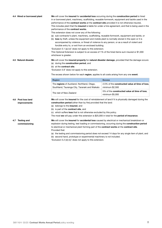|     | 4.4 Hired or borrowed plant         | We will cover the insured for accidental loss occurring during the construction period to hired<br>in or borrowed plant, machinery, scaffolding, reusable formwork, equipment and tackle used in the<br>performance of the contract works at the contract site provided it is not otherwise insured.<br>This includes plant that the insured is liable for under a hire agreement, and that is being used in the<br>performance of the contract works.<br>This extension does not cover any of the following:<br>(a) sub-contractor's plant, machinery, scaffolding, reusable formwork, equipment and tackle, or<br>(b) loss by theft, unless the equipment and mobile plant is normally stored in the open or it is<br>accompanied by violence, or threat of violence to any person, or as a result of violent and<br>forcible entry to, or exit from an enclosed building.<br>'Exclusion 5.1 (a) (vi)' does not apply to this extension.<br>This Optional Extension is subject to an excess of 1% of the hired items sum insured or \$1,000<br>whichever is greater. |                                                                   |
|-----|-------------------------------------|------------------------------------------------------------------------------------------------------------------------------------------------------------------------------------------------------------------------------------------------------------------------------------------------------------------------------------------------------------------------------------------------------------------------------------------------------------------------------------------------------------------------------------------------------------------------------------------------------------------------------------------------------------------------------------------------------------------------------------------------------------------------------------------------------------------------------------------------------------------------------------------------------------------------------------------------------------------------------------------------------------------------------------------------------------------------|-------------------------------------------------------------------|
|     | 4.5 Natural disaster                | We will cover the insured property for natural disaster damage, provided that the damage occurs:<br>(a) during the <b>construction period</b> , and<br>(b) at the contract site.<br>'Exclusion 5.9' does not apply to this extension.<br>The excess shown below for each region, applies to all costs arising from any one event.                                                                                                                                                                                                                                                                                                                                                                                                                                                                                                                                                                                                                                                                                                                                      |                                                                   |
|     |                                     | <b>Region</b>                                                                                                                                                                                                                                                                                                                                                                                                                                                                                                                                                                                                                                                                                                                                                                                                                                                                                                                                                                                                                                                          | <b>Excess</b>                                                     |
|     |                                     | The regions of Auckland, Northland, Otago,<br>Southland, Tauranga City, Taranaki and Waikato                                                                                                                                                                                                                                                                                                                                                                                                                                                                                                                                                                                                                                                                                                                                                                                                                                                                                                                                                                           | 2.5% of the constructed value at time of loss.<br>minimum \$2,500 |
|     |                                     | The rest of New Zealand                                                                                                                                                                                                                                                                                                                                                                                                                                                                                                                                                                                                                                                                                                                                                                                                                                                                                                                                                                                                                                                | 5% of the constructed value at time of loss.<br>minimum \$5,000   |
|     | 4.6 Post loss land<br>improvements  | We will cover the insured for the cost of reinstatement of land if it is physically damaged during the<br>construction period (other than by fire) provided that the land:<br>(a) belongs to the insured, and<br>(b) is part of the <b>contract site</b> , and<br>(c) which suffers <b>loss</b> that is not otherwise excluded by this policy.<br>The most we will pay under this extension is \$25,000 in total for the period of insurance.                                                                                                                                                                                                                                                                                                                                                                                                                                                                                                                                                                                                                          |                                                                   |
| 4.7 | <b>Testing and</b><br>commissioning | We will cover the insured for accidental loss caused by electrical or mechanical breakdown or<br>explosion during testing, test loading or commissioning, occurring during the construction period<br>to electrical or mechanical plant forming part of the contract works at the contract site.<br>Provided that:<br>(a) the testing and commissioning period does not exceed 14 days for any single item of plant, and<br>(b) second hand, prototype or experimental machinery is not included.                                                                                                                                                                                                                                                                                                                                                                                                                                                                                                                                                                      |                                                                   |

'Exclusion 5.2 (d) (iv)' does not apply to this extension.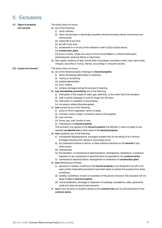## <span id="page-7-0"></span>5. Exclusions

#### **5.1 Types of property not covered**

#### This policy does not insure:

- (a) any of the following:
	- (i) motor vehicles,
	- (ii) other mechanically or electrically propelled vehicles (including railway locomotives and rolling stock),
	- (iii) watercraft of any kind,
	- (iv) aircraft of any kind,
	- (v) accessories in or on any of the vehicles or craft in (a)(i) to (a)(iv) above,
	- (vi) **construction plant**,
	- (vii) tyres or tracks, unless as a result of other insured **loss** to a vehicle/mobile plant,
	- (viii) employees' personal effects or hand tools.
- (b) files, deeds, evidence of debt, bonds, bills of exchange, promissory notes, cash, bank notes, cheques, securities or money, stamps, accounting or computer records.

#### **5.2 Losses not covered** This policy does not insure:

- (a) any of the following types of damage to **insured property**:
	- (i) slowly developing deformation or distortion,
	- (ii) marring or scratching,
	- (iii) gradual deterioration,
	- (iv) rot or mildew,
	- (v) surfaces damaged during the process of cleaning.
- (b) **loss immediately preceded by** any of the following:
	- (i) interruption of the supply of water, gas, electricity, or any other fuel to the situation,
	- (ii) total or partial stoppage of work for longer than 90 days,
	- (iii) interruption or cessation of any process,
	- (iv) occupancy unless otherwise agreed.
- (c) **loss** caused by any of the following:
	- (i) action of micro-organisms, vermin or pests,
	- (ii) corrosion, action of light, or inherent nature of the property,
	- (iii) wear and tear,
	- (iv) fumes, gas, dust, smoke or soot,
	- (v) maintenance of **insured property**.

This exclusion only applies to the **insured property** first affected. It does not apply to any resultant **accidental loss** to other parts of the **insured property**.

- (d) **loss** caused by any of the following:
	- (i) unexplained disappearances, shortages revealed only by the taking of an inventory, shortages resulting from clerical or accounting errors,
	- (ii) any fraudulent scheme or device, or false pretence practiced on the **insured** or any other person,
	- (iii) recklessness,
	- (iv) the operation, or mechanical or electrical failure, derangement, breakdown, or pressure explosion to any mechanical or electrical items incorporated in the **contract works**,
	- (v) mechanical or electrical failure, derangement or breakdown of **construction plant**.
- (e) **loss** following any of these:
	- (i) exposure to weather conditions if the **insured property** is not designed to be left in the open (unless reasonable precautions have been taken to protect the property from these conditions),
	- (ii) landslip, subsidence, erosion or expansion of the ground. However, this exclusion will not apply to **loss** to **insured property**,
	- (iii) normal settlement, shrinkage or expansion of buildings, foundations, walls, pavements, roads and other structural improvements.
- (f) **loss** to any structure or property already at the **contract site** prior to commencement of the **contract works**.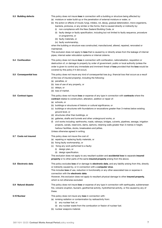| 5.3 Building defects   | This policy does not insure <b>loss</b> in connection with a building or structure being affected by:<br>(a) moisture or water build-up or the penetration of external moisture or water, or<br>(b) the action or effects of mould, fungi, mildew, rot, decay, gradual deterioration, micro-organisms,<br>bacteria, protozoa, or any similar or like forms, that is caused directly or indirectly by:<br>(i) non-compliance with the New Zealand Building Code, or<br>(ii) faulty design or faulty specification, including but not limited to faulty sequence, procedure<br>or programme, or<br>(iii) faulty materials, or<br>(iv) faulty workmanship,<br>when the building or structure was constructed, manufactured, altered, repaired, renovated or<br>maintained.<br>This exclusion does not apply to loss that is caused by or directly arises from the leakage of internal<br>pipes, internal water reticulation systems or internal cisterns. |
|------------------------|--------------------------------------------------------------------------------------------------------------------------------------------------------------------------------------------------------------------------------------------------------------------------------------------------------------------------------------------------------------------------------------------------------------------------------------------------------------------------------------------------------------------------------------------------------------------------------------------------------------------------------------------------------------------------------------------------------------------------------------------------------------------------------------------------------------------------------------------------------------------------------------------------------------------------------------------------------|
| 5.4 Confiscation       | This policy does not insure loss in connection with confiscation, nationalisation, requisition or<br>destruction of, or damage to property by order of government, public or local authority (unless the<br>order is given to control any immediate and imminent threat of loss provided that the loss would be<br>covered by this policy if it did occur).                                                                                                                                                                                                                                                                                                                                                                                                                                                                                                                                                                                            |
| 5.5 Consequential loss | This policy does not insure any kind of consequential loss (e.g. financial loss that occurs as a result<br>of the loss of insured property), including the following:<br>(a) penalties, or<br>(b) loss of use of any property, or<br>(c) delays, or<br>(d) loss of market.                                                                                                                                                                                                                                                                                                                                                                                                                                                                                                                                                                                                                                                                             |
| 5.6 Contract types     | This policy does not insure loss or expense of any type in connection with contracts where the<br>contract relates to construction, alteration, addition or repair of:<br>(a) schools, or<br>(b) buildings or structures of historic or cultural significance, or<br>(c) buildings or structures with foundations or excavations greater than 3-metres below existing<br>ground level, or<br>(d) structures other than buildings, or<br>(e) galleries, shafts and tunnels and other underground works, or<br>(f) civil works including: earthworks, roads, railways, bridges, culverts, pipelines, sewage, irrigation<br>projects, canals, reservoirs, dams, siphons, retaining walls greater than 3-metres in height,<br>harbour facilities, docks, breakwaters and jetties.<br>Unless otherwise agreed in writing.                                                                                                                                   |
| 5.7 Costs not insured  | This policy does not insure the cost of:<br>(a) repairing or replacing faulty materials, or<br>(b) fixing faulty workmanship, or<br>(c) fixing any work performed to a faulty:<br>(i) design plan, or<br>(ii) design specification.<br>This exclusion does not apply to any resultant sudden and <b>accidental loss</b> to separate <b>insured</b><br>property or to other parts of the same insured property arising from the above.                                                                                                                                                                                                                                                                                                                                                                                                                                                                                                                  |
| 5.8 Electronic data    | This policy excludes loss of or damage to electronic data, and any liability arising from this, directly<br>or indirectly caused by, or in connection with a computer virus.<br>This includes loss of use, reduction in functionality or any other associated loss or expense in<br>connection with the electronic data.<br>However, this exclusion does not apply to resultant physical damage to other insured property,<br>which is not otherwise excluded.                                                                                                                                                                                                                                                                                                                                                                                                                                                                                         |
| 5.9 Natural disaster   | This policy does not insure loss or expense of any type in connection with earthquake, subterranean<br>fire, volcanic eruption, tsunami, geothermal activity, hydrothermal activity, or fire caused by any of<br>these.                                                                                                                                                                                                                                                                                                                                                                                                                                                                                                                                                                                                                                                                                                                                |
| 5.10 Nuclear           | This policy does not insure any loss in connection with:<br>(a) ionising radiation or contamination by radioactivity from:<br>(i) any nuclear fuel, or<br>(ii) any nuclear waste from the combustion or fission of nuclear fuel.                                                                                                                                                                                                                                                                                                                                                                                                                                                                                                                                                                                                                                                                                                                       |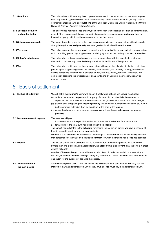<span id="page-9-0"></span>

| 5.11 Sanctions                               | This policy does not insure any loss or provide any cover to the extent such cover would expose<br>us to any sanction, prohibition or restriction under any United Nations resolution, or any trade or<br>economic sanctions, laws or regulations of the European Union, the United Kingdom, the United<br>States of America, Australia or New Zealand.                                                                               |
|----------------------------------------------|---------------------------------------------------------------------------------------------------------------------------------------------------------------------------------------------------------------------------------------------------------------------------------------------------------------------------------------------------------------------------------------------------------------------------------------|
| 5.12 Seepage, pollution<br>and contamination | This policy does not insure loss of any type in connection with seepage, pollution or contamination,<br>except if the seepage, pollution or contamination results from sudden and <b>accidental loss</b> to<br>insured property, which is otherwise covered under this policy.                                                                                                                                                        |
| 5.13 Seismic costs upgrade                   | The amount payable under the policy excludes any costs incurred in connection with seismically<br>strengthening the <b>insured property</b> to a level greater than its level before the <b>loss</b> .                                                                                                                                                                                                                                |
| 5.14 Terrorism                               | This policy does not insure any loss in connection with an act of terrorism, including in connection<br>with controlling, preventing, suppressing, retaliating against, or responding to an act of terrorism.                                                                                                                                                                                                                         |
| 5.15 Unlawful substances                     | This policy does not cover any loss of any type in connection with the manufacture, storage,<br>distribution or use of any controlled drug as defined in the Misuse of Drugs Act 1975.                                                                                                                                                                                                                                                |
| 5.16 War                                     | This policy does not insure any loss in connection with any of the following, including controlling,<br>preventing or suppressing any of the following: war, invasion, act of foreign enemy, hostilities or<br>warlike operations (whether war is declared or not), civil war, mutiny, rebellion, revolution, civil<br>commotion assuming the proportions of or amounting to an uprising, insurrection, military or<br>usurped power. |

## 6. Basis of settlement

|     | 6.1 Method of indemnity                    | We will settle the insured's claim with one of the following options, whichever we choose:<br>(a) replace the <b>insured property</b> with property of a condition substantially the same as or<br>equivalent to, but not better nor more extensive than, its condition at the time of the loss, or<br>pay the cost of repairing the <b>insured property</b> to a condition substantially the same as, but not<br>(b)<br>better nor more extensive than, its condition at the time of the loss, or                                                                                                                       |
|-----|--------------------------------------------|--------------------------------------------------------------------------------------------------------------------------------------------------------------------------------------------------------------------------------------------------------------------------------------------------------------------------------------------------------------------------------------------------------------------------------------------------------------------------------------------------------------------------------------------------------------------------------------------------------------------------|
|     |                                            | where the damage is not economic to repair, we will pay the actual value of the insured<br>(C)<br>property.                                                                                                                                                                                                                                                                                                                                                                                                                                                                                                              |
|     | 6.2 Maximum amount payable                 | The most we will pay:<br>for any one item is the specific sum insured shown in the <b>schedule</b> for that item, and<br>for all items is the total sum insured shown in the <b>schedule</b> .<br>2.<br>The sum(s) insured stated in the <b>schedule</b> represents the maximum liability we have in respect of<br><b>loss</b> to insured item(s) for any one <b>contract site</b> .<br>Where the sum insured is expressed as a percentage in the <b>schedule</b> , the limit of liability shall be<br>that percentage of the value of the specific <b>contract</b> to which the indemnifiable <b>loss</b> has occurred. |
|     | 6.3 Excess                                 | The excess shown in the <b>schedule</b> will be deducted from the amount payable for each <b>event</b> .<br>If more than one excess can be applied following a loss from a single event, only the single highest<br>excess will apply.<br>A series of losses arising from subsidence, erosion, flood, inundation, landslip, cyclone, storm,<br>tempest, or <b>natural disaster damage</b> during any period of 72 consecutive hours will be treated as<br>one <b>event</b> for the purpose of applying the excess.                                                                                                       |
| 6.4 | <b>Reinstatement of</b><br>the sum insured | After we have paid a claim under this policy, we will reinstate the sum insured. We may ask the<br>insured to pay an additional premium for this. If we do, you must pay the additional premium.                                                                                                                                                                                                                                                                                                                                                                                                                         |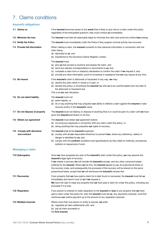## <span id="page-10-0"></span>7. Claims conditions

#### **Insured's obligations**

| 7.1 Advise us                               | If the <b>insured</b> becomes aware of any <b>event</b> that is likely to give rise to a claim under this policy<br>regardless of the anticipated quantum, they must contact us immediately.                                                                                                                                                                                                                                                                                                                                 |
|---------------------------------------------|------------------------------------------------------------------------------------------------------------------------------------------------------------------------------------------------------------------------------------------------------------------------------------------------------------------------------------------------------------------------------------------------------------------------------------------------------------------------------------------------------------------------------|
| 7.2 Minimise the loss                       | The <b>insured</b> must take all reasonable steps to minimise the claim and avoid any further <b>loss</b> arising.                                                                                                                                                                                                                                                                                                                                                                                                           |
| 7.3 Notify the Police                       | The insured must immediately notify the Police if they suspect criminal activity has occurred.                                                                                                                                                                                                                                                                                                                                                                                                                               |
| 7.4 Provide full information                | When making a claim, the <b>insured</b> consents to their personal information in connection with the<br>claim being:<br>(a) disclosed to us, and<br>(b) transferred to the Insurance Claims Register Limited.                                                                                                                                                                                                                                                                                                               |
|                                             | The <b>insured</b> must:<br>(a) give us free access to examine and assess the claim, and<br>(b) send any relevant correspondence or documents to us, and<br>(c) complete a claim form or statutory declaration to confirm the claim if we request it, and<br>(d) provide any other information, proof of ownership or assistance that we may require at any time.                                                                                                                                                            |
| 7.5 Be honest                               | If the insured's claim is dishonest or fraudulent in any way, we may:<br>(a) decline the claim either in whole or in part, or<br>(b) declare this policy or all policies the <b>insured</b> has with us to be unenforceable from the date of<br>the dishonest or fraudulent act.<br>This is at our sole discretion.                                                                                                                                                                                                          |
| 7.6 Do not admit liability                  | The insured must not:<br>(a) admit liability, or<br>(b) do or say anything that may prejudice our ability to defend a claim against the insured or take<br>recovery action in the insured's name.                                                                                                                                                                                                                                                                                                                            |
| 7.7 Do not dispose of property              | The insured must not destroy or dispose of anything that is or could be part of a claim until we have<br>given the insured permission to do this.                                                                                                                                                                                                                                                                                                                                                                            |
| 7.8 Obtain our agreement                    | The <b>insured</b> must obtain our agreement before:<br>(a) incurring any expenses in connection with any claim under this policy, or<br>(b) doing anything that may prejudice our rights of recovery.                                                                                                                                                                                                                                                                                                                       |
| 7.9. Comply with directions<br>and contract | The insured shall at the insured's expense:<br>(a) comply with all our reasonable directions to prevent loss, where any deficiency, defect or<br>danger is identified by us, and<br>(b) comply with the <b>contract</b> conditions and specifications as they relate to methods, procedures,<br>systems or sequences of work.                                                                                                                                                                                                |
| <b>Managing a claim</b>                     |                                                                                                                                                                                                                                                                                                                                                                                                                                                                                                                              |
| 7.10 Subrogation                            | Once we have accepted any part of the <b>insured's</b> claim under this policy, we may assume the<br>insured's legal right of recovery.<br>If we initiate a recovery we will include the insured's excess, and any other uninsured losses<br>suffered by the insured. Where we do this, the insured agrees to pay its proportional share of<br>the recovery costs, and subsequently the proceeds of the recovery will be shared on the same<br>proportional basis, except that we will reimburse the insured's excess first. |
| 7.11 Recoveries                             | If any property that we have paid a claim for is later found or recovered, the insured must tell us<br>immediately and hand it over to us if we request it.<br>We have the right to keep any property that we have paid a claim for under this policy, including any<br>proceeds if it is sold.                                                                                                                                                                                                                              |
| 7.12 Reparation                             | If any person is ordered to make reparation to the <b>insured</b> for <b>loss</b> to any property that we have<br>paid a claim under this policy for, then the <b>insured</b> must tell us. Any payments received, must first<br>reimburse our claims payment up to the amount of any reparation received.                                                                                                                                                                                                                   |
| 7.13 Multiple insureds                      | Where more than one person or entity is insured, we shall:<br>(a) negotiate all claim settlements with, and<br>(b) pay all claim proceeds to,<br>the first insured.                                                                                                                                                                                                                                                                                                                                                          |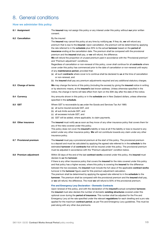## <span id="page-11-0"></span>8. General conditions

#### **How we administer this policy**

| 8.1 Assignment          | The insured may not assign this policy or any interest under this policy without our prior written<br>consent.                                                                                                                                                                                                                                                                                                                                                                                                                                                                                                                                                                                                                                                                                                                                                                                                                                                                                                                                                                                                                                                                                                                                                                                                                                                                                                                                                                                          |
|-------------------------|---------------------------------------------------------------------------------------------------------------------------------------------------------------------------------------------------------------------------------------------------------------------------------------------------------------------------------------------------------------------------------------------------------------------------------------------------------------------------------------------------------------------------------------------------------------------------------------------------------------------------------------------------------------------------------------------------------------------------------------------------------------------------------------------------------------------------------------------------------------------------------------------------------------------------------------------------------------------------------------------------------------------------------------------------------------------------------------------------------------------------------------------------------------------------------------------------------------------------------------------------------------------------------------------------------------------------------------------------------------------------------------------------------------------------------------------------------------------------------------------------------|
| 8.2 Cancellation        | By the insured<br>The insured may cancel this policy at any time by notifying us. If they do, we will refund any<br>premium that is due to the insured. Upon cancellation, the premium will be determined by applying<br>the rate referred to in the schedule plus 20% to the actual turnover based on the period of<br>insurance ending at the cancellation date. The premium shall be compared with the provisional<br>premium and the insured shall pay, or we will refund, the difference.<br>We will refund the proportion of unused premium paid in accordance with the 'Provisional premium'<br>and 'Premium adjustment' conditions.<br>Regardless of cancellation or non-renewal of this policy, cover shall continue for all contracts where<br>cover under this policy has commenced prior to the date of cancellation or non-renewal until expiry<br>of any maintenance period, provided that:<br>(a) all such contracts where cover is to continue shall be declared to us at the time of cancellation<br>or non-renewal, and<br>(b) the insured shall pay any premium adjustments required and any additional statutory charges.                                                                                                                                                                                                                                                                                                                                                           |
| 8.3 Change of terms     | <b>We</b> may change the terms of this policy (including the excess) by giving the <b>insured</b> notice in writing<br>or by electronic means, at the insured's last known address. Unless otherwise specified in the<br>notice, the change in terms will take effect from 4pm on the 30th day after the date of the notice.                                                                                                                                                                                                                                                                                                                                                                                                                                                                                                                                                                                                                                                                                                                                                                                                                                                                                                                                                                                                                                                                                                                                                                            |
| 8.4 Currency            | Any amounts shown in this policy or in the schedule are in New Zealand dollars, unless otherwise<br>specified in the schedule.                                                                                                                                                                                                                                                                                                                                                                                                                                                                                                                                                                                                                                                                                                                                                                                                                                                                                                                                                                                                                                                                                                                                                                                                                                                                                                                                                                          |
| 8.5 GST                 | Where GST is recoverable by us under the Goods and Services Tax Act 1985:<br>(a) all sums insured exclude GST, and<br>(b) all sub limits exclude GST, and<br>(c) all excesses include GST, and<br>(d) GST will be added, where applicable, to claim payments.                                                                                                                                                                                                                                                                                                                                                                                                                                                                                                                                                                                                                                                                                                                                                                                                                                                                                                                                                                                                                                                                                                                                                                                                                                           |
| 8.6 Other insurance     | The insured must notify us as soon as they know of any other insurance policy that covers them for<br>any of the risks covered under this policy.<br>This policy does not cover the insured's liability or loss at all if the liability or loss is insured to any<br>extent under any other insurance policy. We will not contribute towards any claim under any other<br>insurance policy.                                                                                                                                                                                                                                                                                                                                                                                                                                                                                                                                                                                                                                                                                                                                                                                                                                                                                                                                                                                                                                                                                                             |
| 8.7 Provisional premium | The insured must pay a provisional premium at the start of this policy. The provisional premium<br>is a deposit and must be calculated by applying the agreed rate referred to in the <b>schedule</b> to the<br>estimated turnover of all contracts that will be insured under this policy. The provisional premium<br>must be adjusted in accordance with the 'Premium adjustment' condition below.                                                                                                                                                                                                                                                                                                                                                                                                                                                                                                                                                                                                                                                                                                                                                                                                                                                                                                                                                                                                                                                                                                    |
| 8.8 Premium adjustment  | Within 30 days of the end of the last <b>contract works</b> covered under this policy, the <b>insured</b> must<br>declare to us the turnover.<br>If there is any other insurance policy that covers the <b>insured</b> for the risks covered under this policy<br>and that policy has a higher excess, where this policy is covering the insured for the difference<br>between the two excesses, the insured must include the full value of the applicable contract works<br>turnover in the turnover figure used for this premium adjustment calculation.<br>The premium shall be determined by applying the agreed rate referred to in the <b>schedule</b> to the<br>turnover. The premium shall be compared with the provisional premium and the insured shall pay,<br>or we will refund, the difference. The most we will refund is 50% of the provisional premium.<br>Fire and Emergency Levy Declaration - Domestic Contracts<br>Upon renewal of this policy, and with the declaration of the insured's actual completed turnover,<br>the insured must also declare the number of domestic existing structures covered under this<br>optional cover during the <b>period of insurance</b> . This number shall be adjusted for the Fire and<br>Emergency Levy at the rate specified under the relevant regulations for each dwelling and a pro rata<br>applied for the maximum contract period, as per Fire and Emergency Levy guidelines. This must be<br>paid along with any other due premiums. |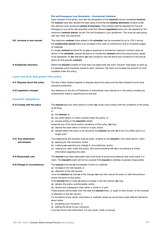|                                       | Fire and Emergency Levy Declaration - Commercial Contracts<br>Upon renewal of this policy, and with the declaration of the insured's actual completed turnover,<br>the insured must also declare the total value of commercial existing structures covered under<br>this optional cover during the period of insurance. This number shall be adjusted for Fire and<br>Emergency Levy at the rate specified under the relevant regulations and a pro rata applied for the<br>maximum <b>contract period</b> , as per Fire and Emergency Levy guidelines. This must be paid along<br>with any other due premiums. |
|---------------------------------------|-----------------------------------------------------------------------------------------------------------------------------------------------------------------------------------------------------------------------------------------------------------------------------------------------------------------------------------------------------------------------------------------------------------------------------------------------------------------------------------------------------------------------------------------------------------------------------------------------------------------|
| 8.9 Increase in sum insured           | The maximum contract value stated in the schedule may be exceeded by up to 10% if during<br>the <b>construction period</b> there is an increase in the costs of construction due to increased wages<br>or materials.<br>If a single contract tendered for by you is expected to exceed the maximum contract value as<br>shown in the schedule, special allowance to include the contract within the annual policy needs<br>to be requested. At our discretion we may choose to vary the terms and conditions of the annual<br>policy for this specific contract.                                                |
| 8.10 Separate insurance               | Where the <b>insured</b> consists of more than one legal entity the word "insured" shall apply to each as<br>if a separate policy had been issued to each. However, this does not increase the amount of cover<br>available under this policy.                                                                                                                                                                                                                                                                                                                                                                  |
| Laws and Acts that govern this policy |                                                                                                                                                                                                                                                                                                                                                                                                                                                                                                                                                                                                                 |

| 8.11 Disputes about this policy | The law of New Zealand applies to disputes about this policy and the New Zealand Courts have<br>exclusive jurisdiction.                              |
|---------------------------------|------------------------------------------------------------------------------------------------------------------------------------------------------|
| 8.12 Legislation changes        | Any reference to any Act of Parliament or subordinate rules referred to in this policy includes any<br>amendments made or substitutions to that law. |
| Insured's obligations           |                                                                                                                                                      |
| 8.13 Comply with the policy     | The <b>insured</b> (and any other person or entity we cover) must comply with the conditions of this policy                                          |
|                                 | at all times.                                                                                                                                        |
|                                 | lf:                                                                                                                                                  |
|                                 | the insured, or<br>(a)                                                                                                                               |
|                                 | (b) any other person or entity covered under this policy, or                                                                                         |
|                                 | (c) anyone acting on the <b>insured's</b> behalf,                                                                                                    |
|                                 | breaches any of the terms and/or conditions of this policy, we may:                                                                                  |
|                                 | المتمرك والمستحدث والمستحدث والمساوية والمستحدث والمتحام والمستقطع والمستحدث والمستحدث والمستحدث                                                     |

- (a) decline the claim either in whole or in part, and/or
- (b) declare either this policy or all insurance the **insured** has with **us** to be of no effect and to no longer exist.

**8.14 True statements and answers** True statements and answers must be given, whether by the **insured** or any other person, when: (a) applying for this insurance, and/or (b) notifying **us** regarding any change in circumstances, and/or

> (c) making any claim under this policy, and communicating with **us** or providing any further information regarding the claim.

8.15 Reasonable care The insured must take reasonable care at all times to avoid circumstances that could result in a claim. The **insured's** claim will not be covered if the **insured** is reckless or grossly irresponsible.

**8.16 Change in circumstances** The **insured** must tell **us** immediately if there is a material:

- (a) increase in the risk insured, or
- (a) alteration of the risk insured.

Once the **insured** has told **us** of the change, **we** may then cancel the policy or alter the premium and/or the terms of this policy.

If the **insured** fails to notify **us** about a change in the risk insured, **we** may:

- (a) declare this policy unenforceable, and/or
- (b) decline any subsequent claim either in whole or in part.

These actions will be taken from the date the **insured** knew, or ought to have known, of the increase or alteration in the risk insured.

*For avoidance of any doubt, information is 'material' where we would have made different decisions about either:*

- *(i) accepting your insurance, or*
- *(ii) setting the terms of your insurance,*

*if we had known that information. If in any doubt, notify us anyway.*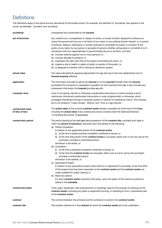## <span id="page-13-0"></span>**Definitions**

The definitions apply to the plural and any derivatives of the bolded words. *For example, the definition of 'accidental' also applies to the words 'accidentally', 'accident' and 'accidents'.*

| accidental                           | Unexpected and unintended by the <b>insured</b> .                                                                                                                                                                                                                                                                                                                                                                                                                                                                                                                                                                                                                                                                                                                                                                                                                                                                                                                                                                                                                                                                                                                                                                                        |
|--------------------------------------|------------------------------------------------------------------------------------------------------------------------------------------------------------------------------------------------------------------------------------------------------------------------------------------------------------------------------------------------------------------------------------------------------------------------------------------------------------------------------------------------------------------------------------------------------------------------------------------------------------------------------------------------------------------------------------------------------------------------------------------------------------------------------------------------------------------------------------------------------------------------------------------------------------------------------------------------------------------------------------------------------------------------------------------------------------------------------------------------------------------------------------------------------------------------------------------------------------------------------------------|
| act of terrorism                     | Any unlawful act, or preparation in respect of action, or threat of action designed to influence or<br>coerce the government de jure or de facto of any nation or any political division thereof, or in pursuit<br>of political, religious, ideological, or similar purposes to intimidate the public or a section of the<br>public of any nation by any person or group(s) of persons whether acting alone or on behalf of or in<br>connection with any organisation(s) or government(s) de jure or de facto, and that:<br>(a) involves violence against one or more persons, or<br>(b) involves damage to property, or<br>(c) endangers life other than that of the person committing the action, or<br>(d) creates a risk to health or safety of public or section of the public, or<br>(e) is designed to interfere with or disrupt an electronic system.                                                                                                                                                                                                                                                                                                                                                                            |
| actual value                         | The value calculated by applying depreciation for age and use to the new replacement cost of<br>insured property affected.                                                                                                                                                                                                                                                                                                                                                                                                                                                                                                                                                                                                                                                                                                                                                                                                                                                                                                                                                                                                                                                                                                               |
| application                          | The information provided to us by the insured or on the insured's behalf when the insured<br>purchased this insurance or requested a quotation for this insurance from us. It also includes any<br>subsequent information the insured provides us with.                                                                                                                                                                                                                                                                                                                                                                                                                                                                                                                                                                                                                                                                                                                                                                                                                                                                                                                                                                                  |
| computer virus                       | A set of corrupting, harmful or otherwise unauthorised instructions or code including a set of<br>maliciously introduced unauthorised instructions or code, programmatic or otherwise, which<br>propagate themselves through a computer system or network of whatsoever nature. This includes<br>but is not limited to 'Trojan Horses', 'Worms' and 'Time or Logic Bombs'.                                                                                                                                                                                                                                                                                                                                                                                                                                                                                                                                                                                                                                                                                                                                                                                                                                                               |
| constructed value<br>at time of loss | The <b>actual value</b> of the covered <b>contract works</b> already completed as at the time of the <b>loss</b> ,<br>including the actual value of any existing structures covered under the Optional Extension<br>'4.3 Existing Structures' (if applicable).                                                                                                                                                                                                                                                                                                                                                                                                                                                                                                                                                                                                                                                                                                                                                                                                                                                                                                                                                                           |
| construction period                  | The period starting at the date you take possession of the contract site, provided such date is<br>within the <b>period of insurance</b> , and ends upon the earliest of the following:<br>(a) Partial Completion<br>In relation to any applicable portion of the contract works:<br>(i) at the time a partial practical completion certificate is issued, or<br>(ii) at the time that portion of the <b>contract works</b> is occupied, taken over or put into use by the<br>purchaser, principal or authorised person,<br>whichever is the earlier, or<br>(b) Completion<br>(i) at the time a practical completion certificate is issued, or<br>(ii) at the time the <b>contract works</b> are occupied, taken over or put to use by the purchaser,<br>principal or authorised person,<br>whichever is the earliest, or<br>(c) Speculative Project<br>In relation to any speculative project where there is no agreement to purchase, at the time 95%<br>of the project price has been expended on the contract works and the contract works are<br>made available for public viewing, or<br>(d) Maximum period<br>For each contract works insured by this policy, upon the expiry of the maximum period as<br>stated in the schedule. |
| construction plant                   | Tools, plant, equipment, site encampments or hoardings used for the purpose of carrying out the<br>contract works, excluding any plant or equipment forming, or intending to form, a permanent part<br>of the contract works.                                                                                                                                                                                                                                                                                                                                                                                                                                                                                                                                                                                                                                                                                                                                                                                                                                                                                                                                                                                                            |
| contract                             | The contract between the principal and the contractor to perform the contract works.                                                                                                                                                                                                                                                                                                                                                                                                                                                                                                                                                                                                                                                                                                                                                                                                                                                                                                                                                                                                                                                                                                                                                     |
| contract site                        | The location referred to in the <b>contract</b> at which the <b>contract works</b> are to be undertaken.                                                                                                                                                                                                                                                                                                                                                                                                                                                                                                                                                                                                                                                                                                                                                                                                                                                                                                                                                                                                                                                                                                                                 |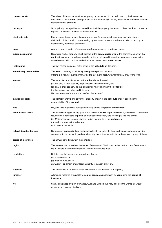| contract works          | The whole of the works, whether temporary or permanent, to be performed by the insured as<br>described in the <b>contract</b> (being subject of this insurance) including all materials and items that are<br>included in that <b>contract</b> .                                                                                                               |
|-------------------------|----------------------------------------------------------------------------------------------------------------------------------------------------------------------------------------------------------------------------------------------------------------------------------------------------------------------------------------------------------------|
| destroyed               | So physically damaged by an insured loss that the property, by reason only of that loss, cannot be<br>repaired or the cost of the repair is uneconomic.                                                                                                                                                                                                        |
| electronic data         | Facts, concepts and information converted to a form useable for communications, display,<br>distribution, interpretation or processing by electronic or electromechanical data processing or<br>electronically controlled equipment.                                                                                                                           |
| event                   | Any one event or series of events arising from one source or original cause.                                                                                                                                                                                                                                                                                   |
| existing structures     | Structures and/or property which existed at the <b>contract site</b> prior to the commencement of the<br>contract works and which are included in the sum insured for existing structures shown in the<br>schedule and which will be worked upon as part of the contract works.                                                                                |
| first insured           | The first named person or entity listed in the schedule as 'Insured'.                                                                                                                                                                                                                                                                                          |
| immediately preceded by | The event occurring immediately in sequence prior to the loss.<br>If there is a chain of events, this will be the last event occurring immediately prior to the loss.                                                                                                                                                                                          |
| insured                 | The person(s) or entity named in the <b>schedule</b> as 'Insured':<br>(a) but only in their capacity as principal or main contractor, and<br>(b) only in their capacity as sub-contractor where shown in the schedule,<br>for their respective rights and interests.<br>We may also use the word 'you' to describe 'insured'.                                  |
| insured property        | The contract works and any other property shown in the schedule once it becomes the<br>responsibility of the insured.                                                                                                                                                                                                                                          |
| loss                    | Physical loss or physical damage occurring during the period of insurance.                                                                                                                                                                                                                                                                                     |
| maintenance period      | The period starting when any part of the <b>contract works</b> is put into service, taken over, occupied or<br>issued with a certificate of partial or practical completion, and finishing at the end of the:<br>(a) Maintenance or Defects Liability Period referred to in the contract, or<br>(b) period shown in the schedule,<br>whichever is the earlier. |
| natural disaster damage | Sudden and <b>accidental loss</b> that results directly or indirectly from earthquake, subterranean fire,<br>volcanic activity, tsunami, geothermal activity, hydrothermal activity, or fire caused by any of these.                                                                                                                                           |
| period of insurance     | The annual period shown in the schedule.                                                                                                                                                                                                                                                                                                                       |
| region                  | The areas of land in each of the named Regions and Districts as defined in the Local Government<br>New Zealand (LGNZ) Regional and Districts boundaries map.                                                                                                                                                                                                   |
| regulations             | Building regulations or other regulations that are:<br>(a) made under, or<br>(b) framed pursuant to,<br>any Act of Parliament or any local authority regulation or by-law.                                                                                                                                                                                     |
| schedule                | The latest version of the Schedule we issued to the insured for this policy.                                                                                                                                                                                                                                                                                   |
| turnover                | All monies received or payable to you for contracts undertaken by you during the period of<br>insurance.                                                                                                                                                                                                                                                       |
| we                      | State, a business division of IAG New Zealand Limited. We may also use the words 'us', 'our'<br>or 'company' to describe State.                                                                                                                                                                                                                                |